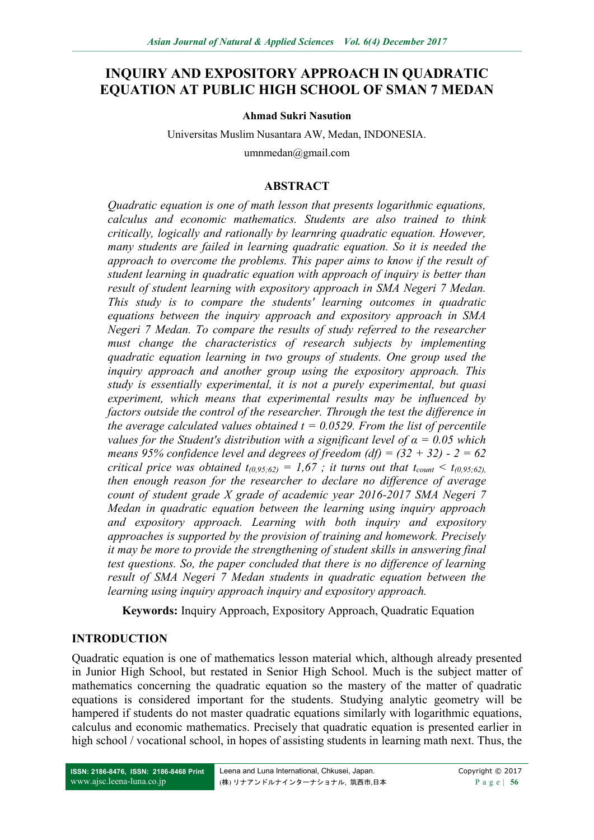# **INQUIRY AND EXPOSITORY APPROACH IN QUADRATIC EQUATION AT PUBLIC HIGH SCHOOL OF SMAN 7 MEDAN**

#### **Ahmad Sukri Nasution**

Universitas Muslim Nusantara AW, Medan, INDONESIA.

umnmedan@gmail.com

#### **ABSTRACT**

*Quadratic equation is one of math lesson that presents logarithmic equations, calculus and economic mathematics. Students are also trained to think critically, logically and rationally by learnring quadratic equation. However, many students are failed in learning quadratic equation. So it is needed the approach to overcome the problems. This paper aims to know if the result of student learning in quadratic equation with approach of inquiry is better than result of student learning with expository approach in SMA Negeri 7 Medan. This study is to compare the students' learning outcomes in quadratic equations between the inquiry approach and expository approach in SMA Negeri 7 Medan. To compare the results of study referred to the researcher must change the characteristics of research subjects by implementing quadratic equation learning in two groups of students. One group used the inquiry approach and another group using the expository approach. This study is essentially experimental, it is not a purely experimental, but quasi experiment, which means that experimental results may be influenced by factors outside the control of the researcher. Through the test the difference in the average calculated values obtained*  $t = 0.0529$ *. From the list of percentile values for the Student's distribution with a significant level of*  $\alpha = 0.05$  *which means 95% confidence level and degrees of freedom (df) =*  $(32 + 32)$  *- 2 = 62 critical price was obtained*  $t_{(0.95,62)} = 1.67$ *; it turns out that*  $t_{count} < t_{(0.95,62)}$ *. then enough reason for the researcher to declare no difference of average count of student grade X grade of academic year 2016-2017 SMA Negeri 7 Medan in quadratic equation between the learning using inquiry approach and expository approach. Learning with both inquiry and expository approaches is supported by the provision of training and homework. Precisely it may be more to provide the strengthening of student skills in answering final test questions. So, the paper concluded that there is no difference of learning result of SMA Negeri 7 Medan students in quadratic equation between the learning using inquiry approach inquiry and expository approach.*

**Keywords:** Inquiry Approach, Expository Approach, Quadratic Equation

### **INTRODUCTION**

Quadratic equation is one of mathematics lesson material which, although already presented in Junior High School, but restated in Senior High School. Much is the subject matter of mathematics concerning the quadratic equation so the mastery of the matter of quadratic equations is considered important for the students. Studying analytic geometry will be hampered if students do not master quadratic equations similarly with logarithmic equations, calculus and economic mathematics. Precisely that quadratic equation is presented earlier in high school / vocational school, in hopes of assisting students in learning math next. Thus, the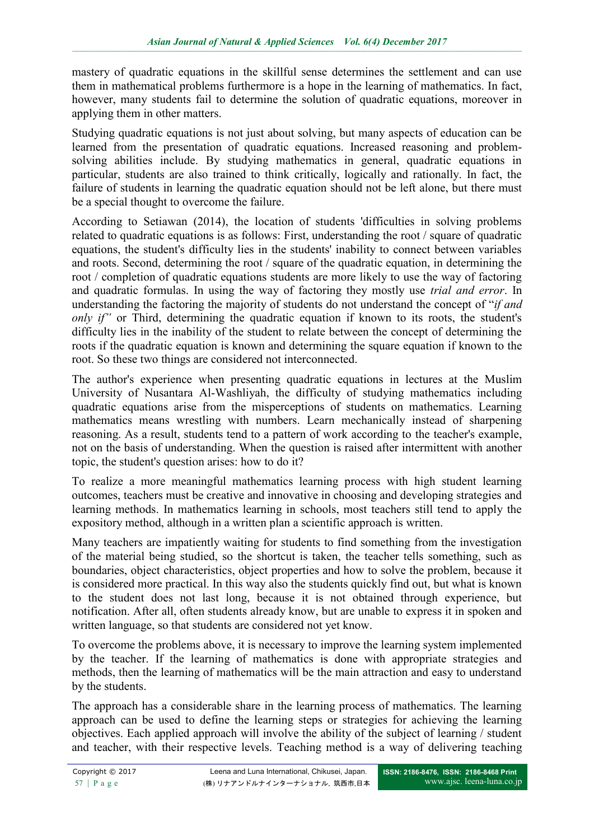mastery of quadratic equations in the skillful sense determines the settlement and can use them in mathematical problems furthermore is a hope in the learning of mathematics. In fact, however, many students fail to determine the solution of quadratic equations, moreover in applying them in other matters.

Studying quadratic equations is not just about solving, but many aspects of education can be learned from the presentation of quadratic equations. Increased reasoning and problemsolving abilities include. By studying mathematics in general, quadratic equations in particular, students are also trained to think critically, logically and rationally. In fact, the failure of students in learning the quadratic equation should not be left alone, but there must be a special thought to overcome the failure.

According to Setiawan (2014), the location of students 'difficulties in solving problems related to quadratic equations is as follows: First, understanding the root / square of quadratic equations, the student's difficulty lies in the students' inability to connect between variables and roots. Second, determining the root / square of the quadratic equation, in determining the root / completion of quadratic equations students are more likely to use the way of factoring and quadratic formulas. In using the way of factoring they mostly use *trial and error*. In understanding the factoring the majority of students do not understand the concept of "*if and only if*" or Third, determining the quadratic equation if known to its roots, the student's difficulty lies in the inability of the student to relate between the concept of determining the roots if the quadratic equation is known and determining the square equation if known to the root. So these two things are considered not interconnected.

The author's experience when presenting quadratic equations in lectures at the Muslim University of Nusantara Al-Washliyah, the difficulty of studying mathematics including quadratic equations arise from the misperceptions of students on mathematics. Learning mathematics means wrestling with numbers. Learn mechanically instead of sharpening reasoning. As a result, students tend to a pattern of work according to the teacher's example, not on the basis of understanding. When the question is raised after intermittent with another topic, the student's question arises: how to do it?

To realize a more meaningful mathematics learning process with high student learning outcomes, teachers must be creative and innovative in choosing and developing strategies and learning methods. In mathematics learning in schools, most teachers still tend to apply the expository method, although in a written plan a scientific approach is written.

Many teachers are impatiently waiting for students to find something from the investigation of the material being studied, so the shortcut is taken, the teacher tells something, such as boundaries, object characteristics, object properties and how to solve the problem, because it is considered more practical. In this way also the students quickly find out, but what is known to the student does not last long, because it is not obtained through experience, but notification. After all, often students already know, but are unable to express it in spoken and written language, so that students are considered not yet know.

To overcome the problems above, it is necessary to improve the learning system implemented by the teacher. If the learning of mathematics is done with appropriate strategies and methods, then the learning of mathematics will be the main attraction and easy to understand by the students.

The approach has a considerable share in the learning process of mathematics. The learning approach can be used to define the learning steps or strategies for achieving the learning objectives. Each applied approach will involve the ability of the subject of learning / student and teacher, with their respective levels. Teaching method is a way of delivering teaching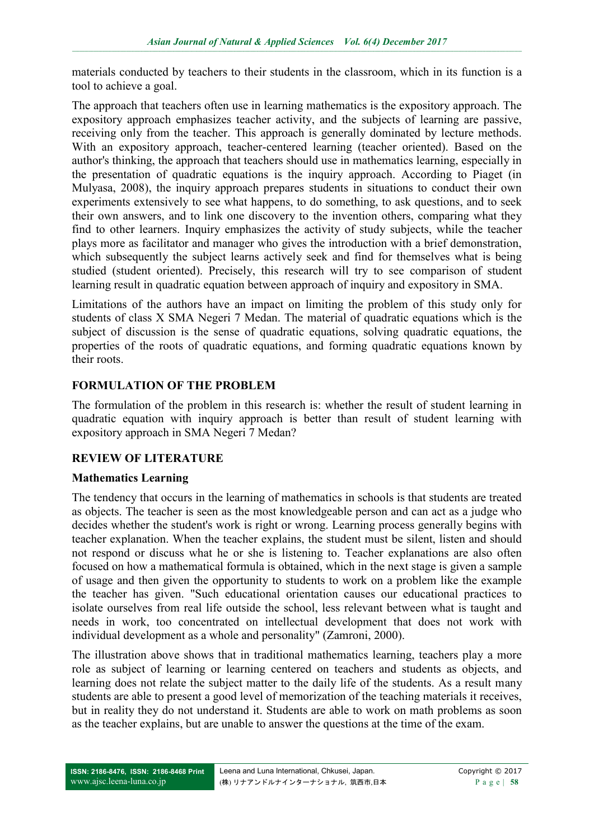materials conducted by teachers to their students in the classroom, which in its function is a tool to achieve a goal.

The approach that teachers often use in learning mathematics is the expository approach. The expository approach emphasizes teacher activity, and the subjects of learning are passive, receiving only from the teacher. This approach is generally dominated by lecture methods. With an expository approach, teacher-centered learning (teacher oriented). Based on the author's thinking, the approach that teachers should use in mathematics learning, especially in the presentation of quadratic equations is the inquiry approach. According to Piaget (in Mulyasa, 2008), the inquiry approach prepares students in situations to conduct their own experiments extensively to see what happens, to do something, to ask questions, and to seek their own answers, and to link one discovery to the invention others, comparing what they find to other learners. Inquiry emphasizes the activity of study subjects, while the teacher plays more as facilitator and manager who gives the introduction with a brief demonstration, which subsequently the subject learns actively seek and find for themselves what is being studied (student oriented). Precisely, this research will try to see comparison of student learning result in quadratic equation between approach of inquiry and expository in SMA.

Limitations of the authors have an impact on limiting the problem of this study only for students of class X SMA Negeri 7 Medan. The material of quadratic equations which is the subject of discussion is the sense of quadratic equations, solving quadratic equations, the properties of the roots of quadratic equations, and forming quadratic equations known by their roots.

## **FORMULATION OF THE PROBLEM**

The formulation of the problem in this research is: whether the result of student learning in quadratic equation with inquiry approach is better than result of student learning with expository approach in SMA Negeri 7 Medan?

### **REVIEW OF LITERATURE**

### **Mathematics Learning**

The tendency that occurs in the learning of mathematics in schools is that students are treated as objects. The teacher is seen as the most knowledgeable person and can act as a judge who decides whether the student's work is right or wrong. Learning process generally begins with teacher explanation. When the teacher explains, the student must be silent, listen and should not respond or discuss what he or she is listening to. Teacher explanations are also often focused on how a mathematical formula is obtained, which in the next stage is given a sample of usage and then given the opportunity to students to work on a problem like the example the teacher has given. "Such educational orientation causes our educational practices to isolate ourselves from real life outside the school, less relevant between what is taught and needs in work, too concentrated on intellectual development that does not work with individual development as a whole and personality" (Zamroni, 2000).

The illustration above shows that in traditional mathematics learning, teachers play a more role as subject of learning or learning centered on teachers and students as objects, and learning does not relate the subject matter to the daily life of the students. As a result many students are able to present a good level of memorization of the teaching materials it receives, but in reality they do not understand it. Students are able to work on math problems as soon as the teacher explains, but are unable to answer the questions at the time of the exam.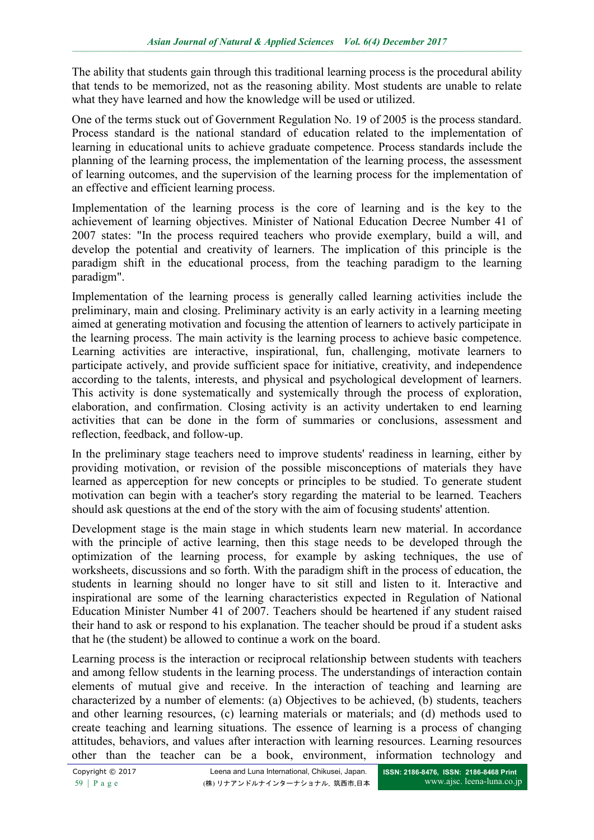The ability that students gain through this traditional learning process is the procedural ability that tends to be memorized, not as the reasoning ability. Most students are unable to relate what they have learned and how the knowledge will be used or utilized.

One of the terms stuck out of Government Regulation No. 19 of 2005 is the process standard. Process standard is the national standard of education related to the implementation of learning in educational units to achieve graduate competence. Process standards include the planning of the learning process, the implementation of the learning process, the assessment of learning outcomes, and the supervision of the learning process for the implementation of an effective and efficient learning process.

Implementation of the learning process is the core of learning and is the key to the achievement of learning objectives. Minister of National Education Decree Number 41 of 2007 states: "In the process required teachers who provide exemplary, build a will, and develop the potential and creativity of learners. The implication of this principle is the paradigm shift in the educational process, from the teaching paradigm to the learning paradigm".

Implementation of the learning process is generally called learning activities include the preliminary, main and closing. Preliminary activity is an early activity in a learning meeting aimed at generating motivation and focusing the attention of learners to actively participate in the learning process. The main activity is the learning process to achieve basic competence. Learning activities are interactive, inspirational, fun, challenging, motivate learners to participate actively, and provide sufficient space for initiative, creativity, and independence according to the talents, interests, and physical and psychological development of learners. This activity is done systematically and systemically through the process of exploration, elaboration, and confirmation. Closing activity is an activity undertaken to end learning activities that can be done in the form of summaries or conclusions, assessment and reflection, feedback, and follow-up.

In the preliminary stage teachers need to improve students' readiness in learning, either by providing motivation, or revision of the possible misconceptions of materials they have learned as apperception for new concepts or principles to be studied. To generate student motivation can begin with a teacher's story regarding the material to be learned. Teachers should ask questions at the end of the story with the aim of focusing students' attention.

Development stage is the main stage in which students learn new material. In accordance with the principle of active learning, then this stage needs to be developed through the optimization of the learning process, for example by asking techniques, the use of worksheets, discussions and so forth. With the paradigm shift in the process of education, the students in learning should no longer have to sit still and listen to it. Interactive and inspirational are some of the learning characteristics expected in Regulation of National Education Minister Number 41 of 2007. Teachers should be heartened if any student raised their hand to ask or respond to his explanation. The teacher should be proud if a student asks that he (the student) be allowed to continue a work on the board.

Learning process is the interaction or reciprocal relationship between students with teachers and among fellow students in the learning process. The understandings of interaction contain elements of mutual give and receive. In the interaction of teaching and learning are characterized by a number of elements: (a) Objectives to be achieved, (b) students, teachers and other learning resources, (c) learning materials or materials; and (d) methods used to create teaching and learning situations. The essence of learning is a process of changing attitudes, behaviors, and values after interaction with learning resources. Learning resources other than the teacher can be a book, environment, information technology and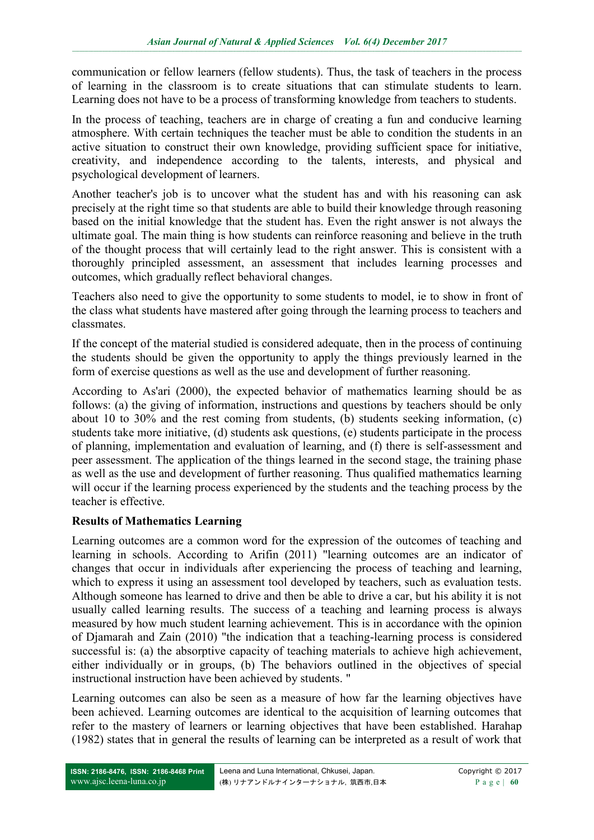communication or fellow learners (fellow students). Thus, the task of teachers in the process of learning in the classroom is to create situations that can stimulate students to learn. Learning does not have to be a process of transforming knowledge from teachers to students.

In the process of teaching, teachers are in charge of creating a fun and conducive learning atmosphere. With certain techniques the teacher must be able to condition the students in an active situation to construct their own knowledge, providing sufficient space for initiative, creativity, and independence according to the talents, interests, and physical and psychological development of learners.

Another teacher's job is to uncover what the student has and with his reasoning can ask precisely at the right time so that students are able to build their knowledge through reasoning based on the initial knowledge that the student has. Even the right answer is not always the ultimate goal. The main thing is how students can reinforce reasoning and believe in the truth of the thought process that will certainly lead to the right answer. This is consistent with a thoroughly principled assessment, an assessment that includes learning processes and outcomes, which gradually reflect behavioral changes.

Teachers also need to give the opportunity to some students to model, ie to show in front of the class what students have mastered after going through the learning process to teachers and classmates.

If the concept of the material studied is considered adequate, then in the process of continuing the students should be given the opportunity to apply the things previously learned in the form of exercise questions as well as the use and development of further reasoning.

According to As'ari (2000), the expected behavior of mathematics learning should be as follows: (a) the giving of information, instructions and questions by teachers should be only about 10 to 30% and the rest coming from students, (b) students seeking information, (c) students take more initiative, (d) students ask questions, (e) students participate in the process of planning, implementation and evaluation of learning, and (f) there is self-assessment and peer assessment. The application of the things learned in the second stage, the training phase as well as the use and development of further reasoning. Thus qualified mathematics learning will occur if the learning process experienced by the students and the teaching process by the teacher is effective.

### **Results of Mathematics Learning**

Learning outcomes are a common word for the expression of the outcomes of teaching and learning in schools. According to Arifin (2011) "learning outcomes are an indicator of changes that occur in individuals after experiencing the process of teaching and learning, which to express it using an assessment tool developed by teachers, such as evaluation tests. Although someone has learned to drive and then be able to drive a car, but his ability it is not usually called learning results. The success of a teaching and learning process is always measured by how much student learning achievement. This is in accordance with the opinion of Djamarah and Zain (2010) "the indication that a teaching-learning process is considered successful is: (a) the absorptive capacity of teaching materials to achieve high achievement, either individually or in groups, (b) The behaviors outlined in the objectives of special instructional instruction have been achieved by students. "

Learning outcomes can also be seen as a measure of how far the learning objectives have been achieved. Learning outcomes are identical to the acquisition of learning outcomes that refer to the mastery of learners or learning objectives that have been established. Harahap (1982) states that in general the results of learning can be interpreted as a result of work that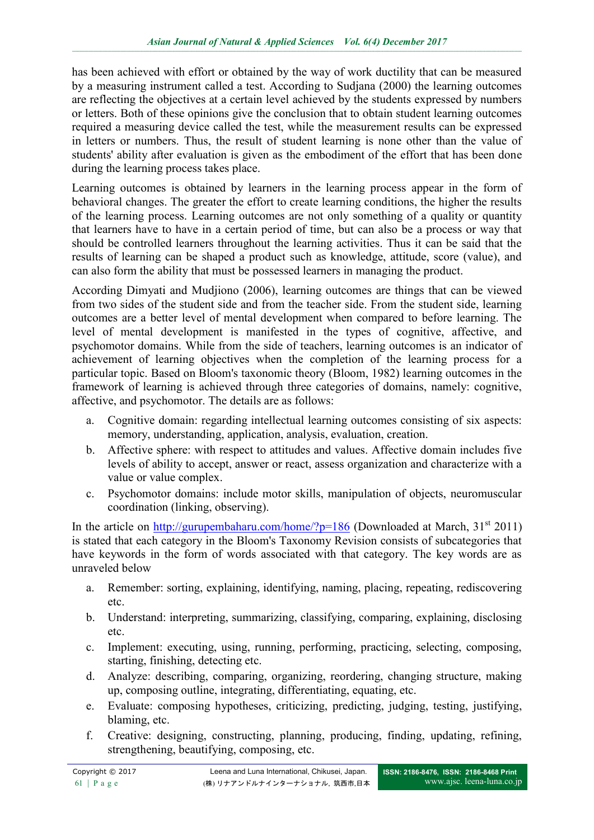has been achieved with effort or obtained by the way of work ductility that can be measured by a measuring instrument called a test. According to Sudjana (2000) the learning outcomes are reflecting the objectives at a certain level achieved by the students expressed by numbers or letters. Both of these opinions give the conclusion that to obtain student learning outcomes required a measuring device called the test, while the measurement results can be expressed in letters or numbers. Thus, the result of student learning is none other than the value of students' ability after evaluation is given as the embodiment of the effort that has been done during the learning process takes place.

Learning outcomes is obtained by learners in the learning process appear in the form of behavioral changes. The greater the effort to create learning conditions, the higher the results of the learning process. Learning outcomes are not only something of a quality or quantity that learners have to have in a certain period of time, but can also be a process or way that should be controlled learners throughout the learning activities. Thus it can be said that the results of learning can be shaped a product such as knowledge, attitude, score (value), and can also form the ability that must be possessed learners in managing the product.

According Dimyati and Mudjiono (2006), learning outcomes are things that can be viewed from two sides of the student side and from the teacher side. From the student side, learning outcomes are a better level of mental development when compared to before learning. The level of mental development is manifested in the types of cognitive, affective, and psychomotor domains. While from the side of teachers, learning outcomes is an indicator of achievement of learning objectives when the completion of the learning process for a particular topic. Based on Bloom's taxonomic theory (Bloom, 1982) learning outcomes in the framework of learning is achieved through three categories of domains, namely: cognitive, affective, and psychomotor. The details are as follows:

- a. Cognitive domain: regarding intellectual learning outcomes consisting of six aspects: memory, understanding, application, analysis, evaluation, creation.
- b. Affective sphere: with respect to attitudes and values. Affective domain includes five levels of ability to accept, answer or react, assess organization and characterize with a value or value complex.
- c. Psychomotor domains: include motor skills, manipulation of objects, neuromuscular coordination (linking, observing).

In the article on  $\frac{http://gurupembaharu.com/home/?p=186}{http://gurupembaharu.com/home/?p=186}$  (Downloaded at March, 31<sup>st</sup> 2011) is stated that each category in the Bloom's Taxonomy Revision consists of subcategories that have keywords in the form of words associated with that category. The key words are as unraveled below

- a. Remember: sorting, explaining, identifying, naming, placing, repeating, rediscovering etc.
- b. Understand: interpreting, summarizing, classifying, comparing, explaining, disclosing etc.
- c. Implement: executing, using, running, performing, practicing, selecting, composing, starting, finishing, detecting etc.
- d. Analyze: describing, comparing, organizing, reordering, changing structure, making up, composing outline, integrating, differentiating, equating, etc.
- e. Evaluate: composing hypotheses, criticizing, predicting, judging, testing, justifying, blaming, etc.
- f. Creative: designing, constructing, planning, producing, finding, updating, refining, strengthening, beautifying, composing, etc.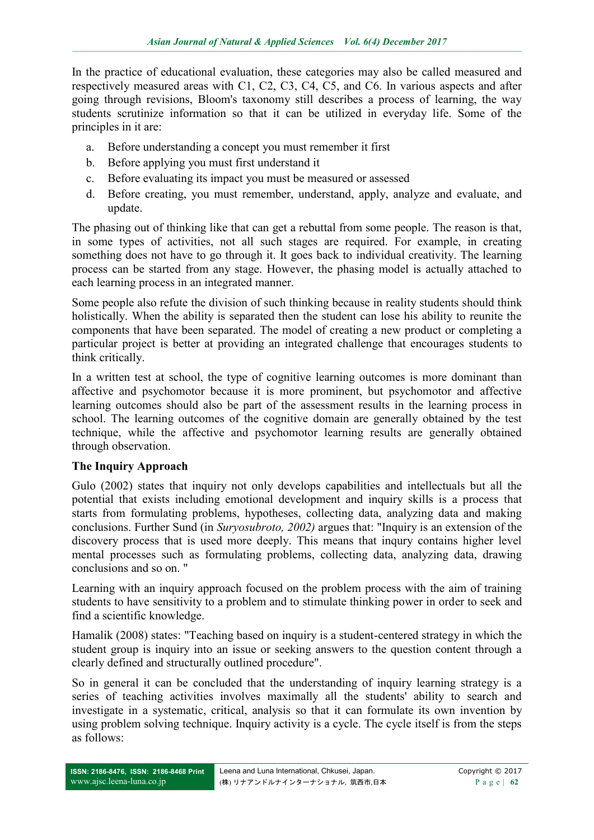In the practice of educational evaluation, these categories may also be called measured and respectively measured areas with C1, C2, C3, C4, C5, and C6. In various aspects and after going through revisions, Bloom's taxonomy still describes a process of learning, the way students scrutinize information so that it can be utilized in everyday life. Some of the principles in it are:

- a. Before understanding a concept you must remember it first
- b. Before applying you must first understand it
- c. Before evaluating its impact you must be measured or assessed
- d. Before creating, you must remember, understand, apply, analyze and evaluate, and update.

The phasing out of thinking like that can get a rebuttal from some people. The reason is that, in some types of activities, not all such stages are required. For example, in creating something does not have to go through it. It goes back to individual creativity. The learning process can be started from any stage. However, the phasing model is actually attached to each learning process in an integrated manner.

Some people also refute the division of such thinking because in reality students should think holistically. When the ability is separated then the student can lose his ability to reunite the components that have been separated. The model of creating a new product or completing a particular project is better at providing an integrated challenge that encourages students to think critically.

In a written test at school, the type of cognitive learning outcomes is more dominant than affective and psychomotor because it is more prominent, but psychomotor and affective learning outcomes should also be part of the assessment results in the learning process in school. The learning outcomes of the cognitive domain are generally obtained by the test technique, while the affective and psychomotor learning results are generally obtained through observation.

### **The Inquiry Approach**

Gulo (2002) states that inquiry not only develops capabilities and intellectuals but all the potential that exists including emotional development and inquiry skills is a process that starts from formulating problems, hypotheses, collecting data, analyzing data and making conclusions. Further Sund (in *Suryosubroto, 2002)* argues that: "Inquiry is an extension of the discovery process that is used more deeply. This means that inqury contains higher level mental processes such as formulating problems, collecting data, analyzing data, drawing conclusions and so on. "

Learning with an inquiry approach focused on the problem process with the aim of training students to have sensitivity to a problem and to stimulate thinking power in order to seek and find a scientific knowledge.

Hamalik (2008) states: "Teaching based on inquiry is a student-centered strategy in which the student group is inquiry into an issue or seeking answers to the question content through a clearly defined and structurally outlined procedure".

So in general it can be concluded that the understanding of inquiry learning strategy is a series of teaching activities involves maximally all the students' ability to search and investigate in a systematic, critical, analysis so that it can formulate its own invention by using problem solving technique. Inquiry activity is a cycle. The cycle itself is from the steps as follows: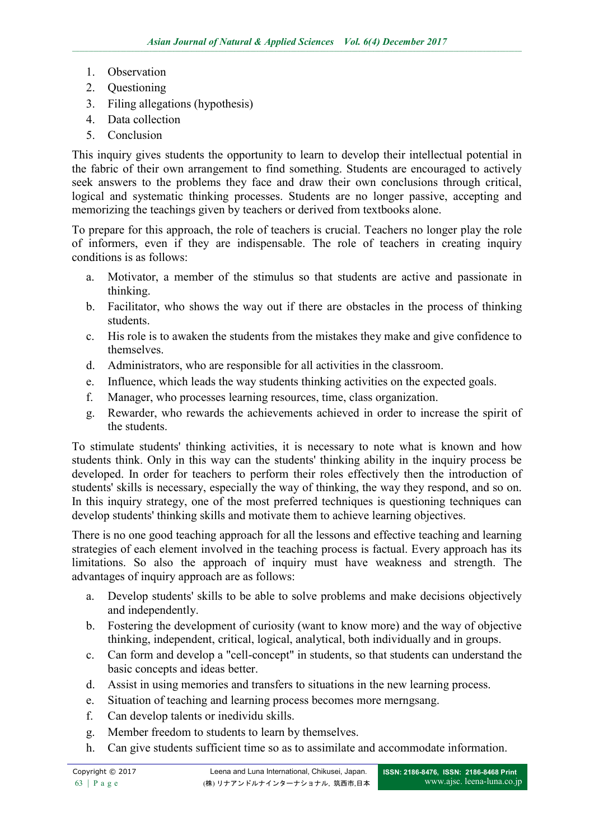- 1. Observation
- 2. Questioning
- 3. Filing allegations (hypothesis)
- 4. Data collection
- 5. Conclusion

This inquiry gives students the opportunity to learn to develop their intellectual potential in the fabric of their own arrangement to find something. Students are encouraged to actively seek answers to the problems they face and draw their own conclusions through critical, logical and systematic thinking processes. Students are no longer passive, accepting and memorizing the teachings given by teachers or derived from textbooks alone.

To prepare for this approach, the role of teachers is crucial. Teachers no longer play the role of informers, even if they are indispensable. The role of teachers in creating inquiry conditions is as follows:

- a. Motivator, a member of the stimulus so that students are active and passionate in thinking.
- b. Facilitator, who shows the way out if there are obstacles in the process of thinking students.
- c. His role is to awaken the students from the mistakes they make and give confidence to themselves.
- d. Administrators, who are responsible for all activities in the classroom.
- e. Influence, which leads the way students thinking activities on the expected goals.
- f. Manager, who processes learning resources, time, class organization.
- g. Rewarder, who rewards the achievements achieved in order to increase the spirit of the students.

To stimulate students' thinking activities, it is necessary to note what is known and how students think. Only in this way can the students' thinking ability in the inquiry process be developed. In order for teachers to perform their roles effectively then the introduction of students' skills is necessary, especially the way of thinking, the way they respond, and so on. In this inquiry strategy, one of the most preferred techniques is questioning techniques can develop students' thinking skills and motivate them to achieve learning objectives.

There is no one good teaching approach for all the lessons and effective teaching and learning strategies of each element involved in the teaching process is factual. Every approach has its limitations. So also the approach of inquiry must have weakness and strength. The advantages of inquiry approach are as follows:

- a. Develop students' skills to be able to solve problems and make decisions objectively and independently.
- b. Fostering the development of curiosity (want to know more) and the way of objective thinking, independent, critical, logical, analytical, both individually and in groups.
- c. Can form and develop a "cell-concept" in students, so that students can understand the basic concepts and ideas better.
- d. Assist in using memories and transfers to situations in the new learning process.
- e. Situation of teaching and learning process becomes more merngsang.
- f. Can develop talents or inedividu skills.
- g. Member freedom to students to learn by themselves.
- h. Can give students sufficient time so as to assimilate and accommodate information.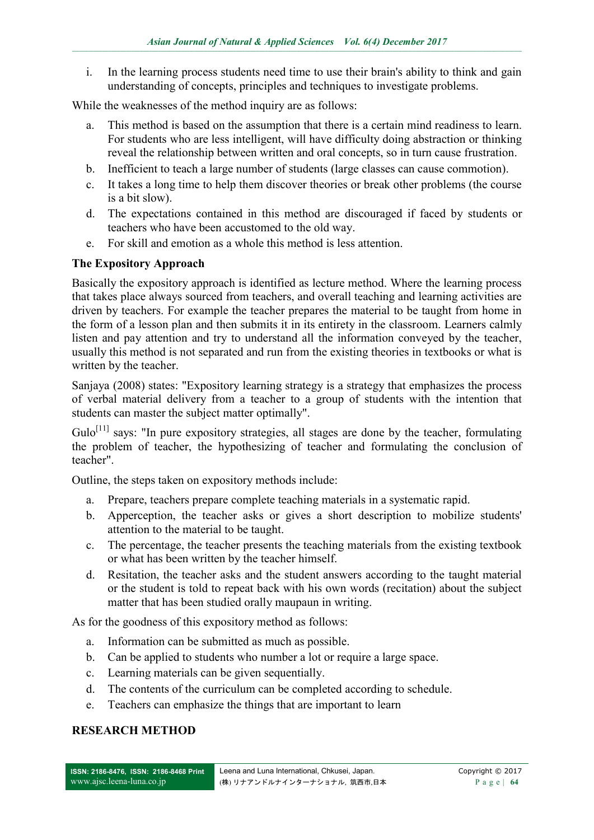i. In the learning process students need time to use their brain's ability to think and gain understanding of concepts, principles and techniques to investigate problems.

While the weaknesses of the method inquiry are as follows:

- a. This method is based on the assumption that there is a certain mind readiness to learn. For students who are less intelligent, will have difficulty doing abstraction or thinking reveal the relationship between written and oral concepts, so in turn cause frustration.
- b. Inefficient to teach a large number of students (large classes can cause commotion).
- c. It takes a long time to help them discover theories or break other problems (the course is a bit slow).
- d. The expectations contained in this method are discouraged if faced by students or teachers who have been accustomed to the old way.
- e. For skill and emotion as a whole this method is less attention.

### **The Expository Approach**

Basically the expository approach is identified as lecture method. Where the learning process that takes place always sourced from teachers, and overall teaching and learning activities are driven by teachers. For example the teacher prepares the material to be taught from home in the form of a lesson plan and then submits it in its entirety in the classroom. Learners calmly listen and pay attention and try to understand all the information conveyed by the teacher, usually this method is not separated and run from the existing theories in textbooks or what is written by the teacher.

Sanjaya (2008) states: "Expository learning strategy is a strategy that emphasizes the process of verbal material delivery from a teacher to a group of students with the intention that students can master the subject matter optimally".

 $Gulo<sup>[11]</sup>$  says: "In pure expository strategies, all stages are done by the teacher, formulating the problem of teacher, the hypothesizing of teacher and formulating the conclusion of teacher".

Outline, the steps taken on expository methods include:

- a. Prepare, teachers prepare complete teaching materials in a systematic rapid.
- b. Apperception, the teacher asks or gives a short description to mobilize students' attention to the material to be taught.
- c. The percentage, the teacher presents the teaching materials from the existing textbook or what has been written by the teacher himself.
- d. Resitation, the teacher asks and the student answers according to the taught material or the student is told to repeat back with his own words (recitation) about the subject matter that has been studied orally maupaun in writing.

As for the goodness of this expository method as follows:

- a. Information can be submitted as much as possible.
- b. Can be applied to students who number a lot or require a large space.
- c. Learning materials can be given sequentially.
- d. The contents of the curriculum can be completed according to schedule.
- e. Teachers can emphasize the things that are important to learn

### **RESEARCH METHOD**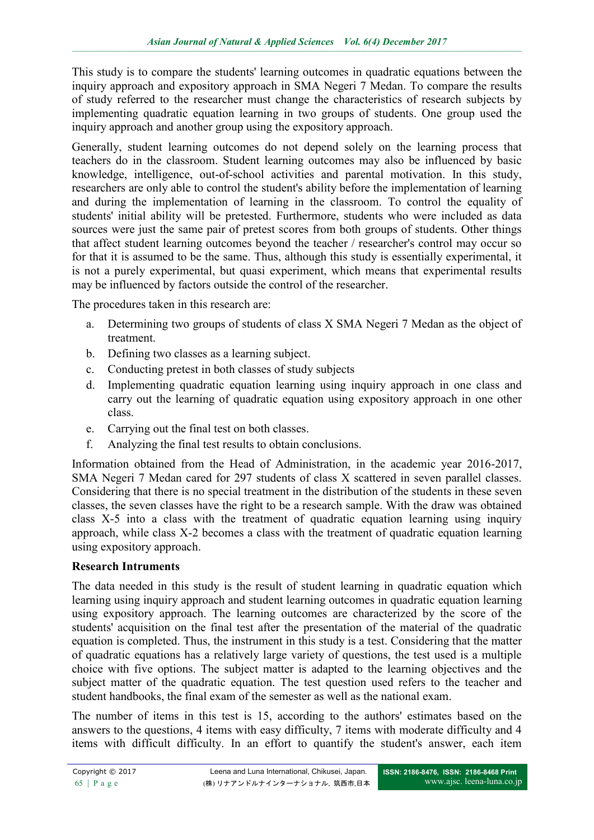This study is to compare the students' learning outcomes in quadratic equations between the inquiry approach and expository approach in SMA Negeri 7 Medan. To compare the results of study referred to the researcher must change the characteristics of research subjects by implementing quadratic equation learning in two groups of students. One group used the inquiry approach and another group using the expository approach.

Generally, student learning outcomes do not depend solely on the learning process that teachers do in the classroom. Student learning outcomes may also be influenced by basic knowledge, intelligence, out-of-school activities and parental motivation. In this study, researchers are only able to control the student's ability before the implementation of learning and during the implementation of learning in the classroom. To control the equality of students' initial ability will be pretested. Furthermore, students who were included as data sources were just the same pair of pretest scores from both groups of students. Other things that affect student learning outcomes beyond the teacher / researcher's control may occur so for that it is assumed to be the same. Thus, although this study is essentially experimental, it is not a purely experimental, but quasi experiment, which means that experimental results may be influenced by factors outside the control of the researcher.

The procedures taken in this research are:

- a. Determining two groups of students of class X SMA Negeri 7 Medan as the object of treatment.
- b. Defining two classes as a learning subject.
- c. Conducting pretest in both classes of study subjects
- d. Implementing quadratic equation learning using inquiry approach in one class and carry out the learning of quadratic equation using expository approach in one other class.
- e. Carrying out the final test on both classes.
- f. Analyzing the final test results to obtain conclusions.

Information obtained from the Head of Administration, in the academic year 2016-2017, SMA Negeri 7 Medan cared for 297 students of class X scattered in seven parallel classes. Considering that there is no special treatment in the distribution of the students in these seven classes, the seven classes have the right to be a research sample. With the draw was obtained class X-5 into a class with the treatment of quadratic equation learning using inquiry approach, while class X-2 becomes a class with the treatment of quadratic equation learning using expository approach.

### **Research Intruments**

The data needed in this study is the result of student learning in quadratic equation which learning using inquiry approach and student learning outcomes in quadratic equation learning using expository approach. The learning outcomes are characterized by the score of the students' acquisition on the final test after the presentation of the material of the quadratic equation is completed. Thus, the instrument in this study is a test. Considering that the matter of quadratic equations has a relatively large variety of questions, the test used is a multiple choice with five options. The subject matter is adapted to the learning objectives and the subject matter of the quadratic equation. The test question used refers to the teacher and student handbooks, the final exam of the semester as well as the national exam.

The number of items in this test is 15, according to the authors' estimates based on the answers to the questions, 4 items with easy difficulty, 7 items with moderate difficulty and 4 items with difficult difficulty. In an effort to quantify the student's answer, each item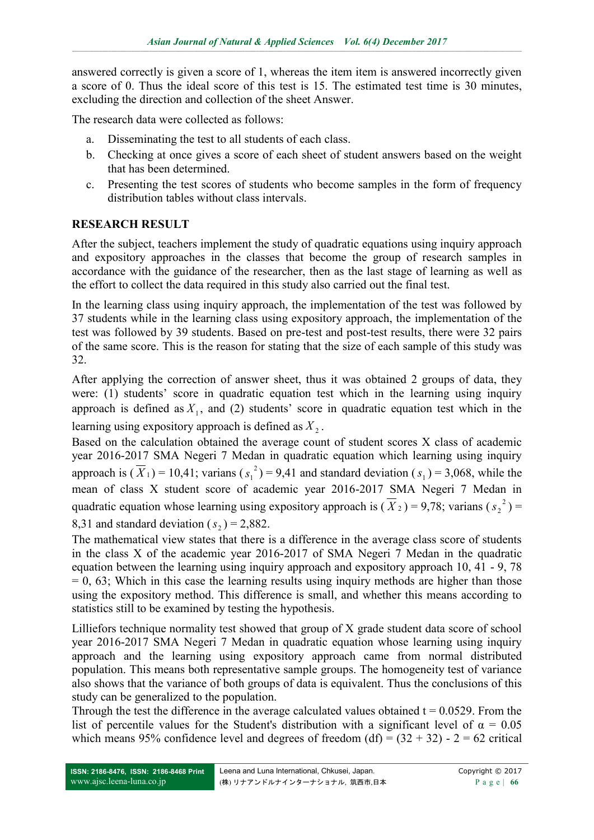answered correctly is given a score of 1, whereas the item item is answered incorrectly given a score of 0. Thus the ideal score of this test is 15. The estimated test time is 30 minutes, excluding the direction and collection of the sheet Answer.

The research data were collected as follows:

- a. Disseminating the test to all students of each class.
- b. Checking at once gives a score of each sheet of student answers based on the weight that has been determined.
- c. Presenting the test scores of students who become samples in the form of frequency distribution tables without class intervals.

## **RESEARCH RESULT**

After the subject, teachers implement the study of quadratic equations using inquiry approach and expository approaches in the classes that become the group of research samples in accordance with the guidance of the researcher, then as the last stage of learning as well as the effort to collect the data required in this study also carried out the final test.

In the learning class using inquiry approach, the implementation of the test was followed by 37 students while in the learning class using expository approach, the implementation of the test was followed by 39 students. Based on pre-test and post-test results, there were 32 pairs of the same score. This is the reason for stating that the size of each sample of this study was 32.

After applying the correction of answer sheet, thus it was obtained 2 groups of data, they were: (1) students' score in quadratic equation test which in the learning using inquiry approach is defined as  $X_1$ , and (2) students' score in quadratic equation test which in the learning using expository approach is defined as  $X_2$ .

Based on the calculation obtained the average count of student scores X class of academic year 2016-2017 SMA Negeri 7 Medan in quadratic equation which learning using inquiry approach is  $(\overline{X}_1) = 10,41$ ; varians  $(s_1^2)$  $s_1^2$ ) = 9,41 and standard deviation ( $s_1$ ) = 3,068, while the mean of class X student score of academic year 2016-2017 SMA Negeri 7 Medan in quadratic equation whose learning using expository approach is  $(\overline{X}_2) = 9.78$ ; varians  $(s_2^2)$  $s_2^2$ ) =

### 8,31 and standard deviation  $(s_2) = 2,882$ .

The mathematical view states that there is a difference in the average class score of students in the class X of the academic year 2016-2017 of SMA Negeri 7 Medan in the quadratic equation between the learning using inquiry approach and expository approach 10, 41 - 9, 78  $= 0, 63$ ; Which in this case the learning results using inquiry methods are higher than those using the expository method. This difference is small, and whether this means according to statistics still to be examined by testing the hypothesis.

Lilliefors technique normality test showed that group of X grade student data score of school year 2016-2017 SMA Negeri 7 Medan in quadratic equation whose learning using inquiry approach and the learning using expository approach came from normal distributed population. This means both representative sample groups. The homogeneity test of variance also shows that the variance of both groups of data is equivalent. Thus the conclusions of this study can be generalized to the population.

Through the test the difference in the average calculated values obtained  $t = 0.0529$ . From the list of percentile values for the Student's distribution with a significant level of  $\alpha = 0.05$ which means 95% confidence level and degrees of freedom (df) =  $(32 + 32)$  - 2 = 62 critical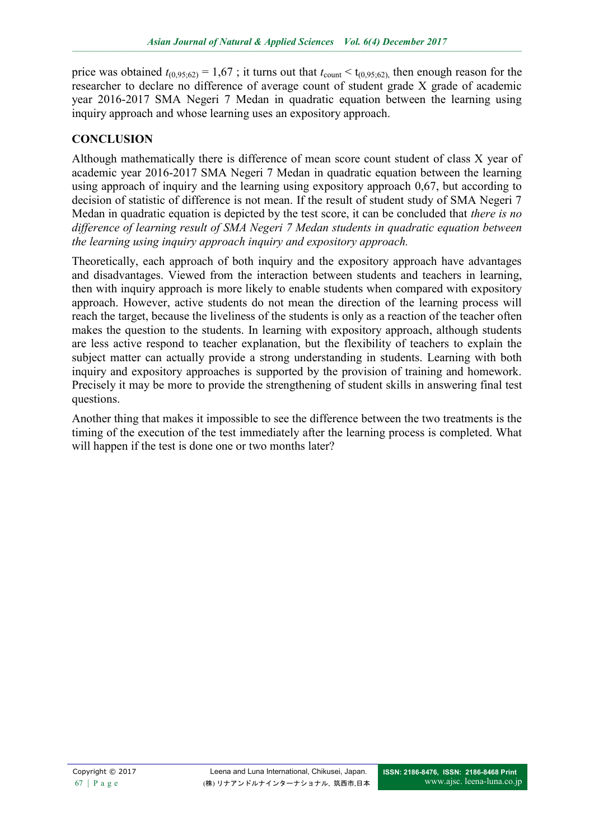price was obtained  $t_{(0,95;62)} = 1,67$ ; it turns out that  $t_{\text{count}} < t_{(0,95;62)}$ , then enough reason for the researcher to declare no difference of average count of student grade X grade of academic year 2016-2017 SMA Negeri 7 Medan in quadratic equation between the learning using inquiry approach and whose learning uses an expository approach.

# **CONCLUSION**

Although mathematically there is difference of mean score count student of class X year of academic year 2016-2017 SMA Negeri 7 Medan in quadratic equation between the learning using approach of inquiry and the learning using expository approach 0,67, but according to decision of statistic of difference is not mean. If the result of student study of SMA Negeri 7 Medan in quadratic equation is depicted by the test score, it can be concluded that *there is no difference of learning result of SMA Negeri 7 Medan students in quadratic equation between the learning using inquiry approach inquiry and expository approach.*

Theoretically, each approach of both inquiry and the expository approach have advantages and disadvantages. Viewed from the interaction between students and teachers in learning, then with inquiry approach is more likely to enable students when compared with expository approach. However, active students do not mean the direction of the learning process will reach the target, because the liveliness of the students is only as a reaction of the teacher often makes the question to the students. In learning with expository approach, although students are less active respond to teacher explanation, but the flexibility of teachers to explain the subject matter can actually provide a strong understanding in students. Learning with both inquiry and expository approaches is supported by the provision of training and homework. Precisely it may be more to provide the strengthening of student skills in answering final test questions.

Another thing that makes it impossible to see the difference between the two treatments is the timing of the execution of the test immediately after the learning process is completed. What will happen if the test is done one or two months later?